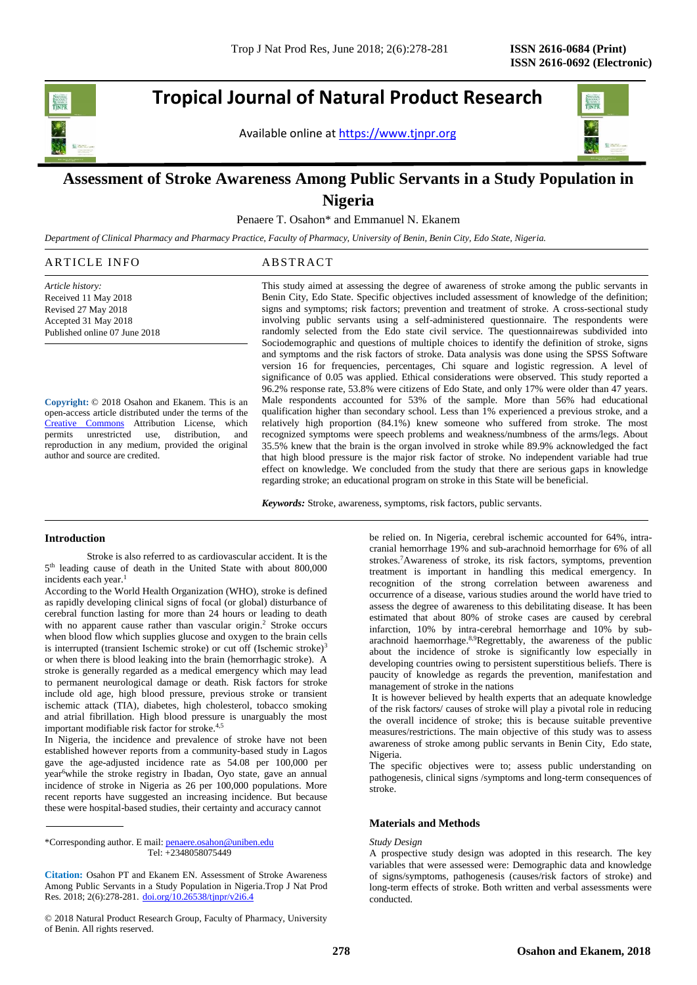# **Tropical Journal of Natural Product Research**

Available online a[t https://www.tjnpr.org](https://www.tjnpr.org/)



# **Assessment of Stroke Awareness Among Public Servants in a Study Population in Nigeria**

Penaere T. Osahon\* and Emmanuel N. Ekanem

*Department of Clinical Pharmacy and Pharmacy Practice, Faculty of Pharmacy, University of Benin, Benin City, Edo State, Nigeria.*

| ARTICLE INFO                  | ABSTRACT                                                                                       |  |  |  |
|-------------------------------|------------------------------------------------------------------------------------------------|--|--|--|
| Article history:              | This study aimed at assessing the degree of awareness of stroke among the public servants in   |  |  |  |
| Received 11 May 2018          | Benin City, Edo State. Specific objectives included assessment of knowledge of the definition; |  |  |  |
| Revised 27 May 2018           | signs and symptoms; risk factors; prevention and treatment of stroke. A cross-sectional study  |  |  |  |
| Accepted 31 May 2018          | involving public servants using a self-administered questionnaire. The respondents were        |  |  |  |
| Published online 07 June 2018 | randomly selected from the Edo state civil service. The questionnairewas subdivided into       |  |  |  |
|                               | Sociodemographic and questions of multiple choices to identify the definition of stroke, signs |  |  |  |
|                               | and symptoms and the risk factors of stroke. Data analysis was done using the SPSS Software    |  |  |  |

**Copyright:** © 2018 Osahon and Ekanem. This is an open-access article distributed under the terms of the [Creative Commons](https://creativecommons.org/licenses/by/4.0/) Attribution License, which permits unrestricted use, distribution, and reproduction in any medium, provided the original author and source are credited.

version 16 for frequencies, percentages, Chi square and logistic regression. A level of significance of 0.05 was applied. Ethical considerations were observed. This study reported a 96.2% response rate, 53.8% were citizens of Edo State, and only 17% were older than 47 years. Male respondents accounted for 53% of the sample. More than 56% had educational qualification higher than secondary school. Less than 1% experienced a previous stroke, and a relatively high proportion (84.1%) knew someone who suffered from stroke. The most recognized symptoms were speech problems and weakness/numbness of the arms/legs. About 35.5% knew that the brain is the organ involved in stroke while 89.9% acknowledged the fact that high blood pressure is the major risk factor of stroke. No independent variable had true effect on knowledge. We concluded from the study that there are serious gaps in knowledge regarding stroke; an educational program on stroke in this State will be beneficial.

*Keywords:* Stroke, awareness, symptoms, risk factors, public servants.

# **Introduction**

Stroke is also referred to as cardiovascular accident. It is the 5 th leading cause of death in the United State with about 800,000 incidents each year.<sup>1</sup>

According to the World Health Organization (WHO), stroke is defined as rapidly developing clinical signs of focal (or global) disturbance of cerebral function lasting for more than 24 hours or leading to death with no apparent cause rather than vascular origin. <sup>2</sup> Stroke occurs when blood flow which supplies glucose and oxygen to the brain cells is interrupted (transient Ischemic stroke) or cut off (Ischemic stroke)<sup>3</sup> or when there is blood leaking into the brain (hemorrhagic stroke). A stroke is generally regarded as a medical emergency which may lead to permanent neurological damage or death. Risk factors for stroke include old age, high blood pressure, previous stroke or transient ischemic attack (TIA), diabetes, high cholesterol, tobacco smoking and atrial fibrillation. High blood pressure is unarguably the most important modifiable risk factor for stroke. 4,5

In Nigeria, the incidence and prevalence of stroke have not been established however reports from a community-based study in Lagos gave the age-adjusted incidence rate as 54.08 per 100,000 per year<sup>6</sup>while the stroke registry in Ibadan, Oyo state, gave an annual incidence of stroke in Nigeria as 26 per 100,000 populations. More recent reports have suggested an increasing incidence. But because these were hospital-based studies, their certainty and accuracy cannot

\*Corresponding author. E mail[: penaere.osahon@uniben.edu](mailto:penaere.osahon@uniben.edu) Tel: +2348058075449

**Citation:** Osahon PT and Ekanem EN. Assessment of Stroke Awareness Among Public Servants in a Study Population in Nigeria.Trop J Nat Prod Res. 2018; 2(6):278-281. [doi.org/10.26538/tjnpr/v2i6.4](http://www.doi.org/10.26538/tjnpr/v1i4.5)

© 2018 Natural Product Research Group, Faculty of Pharmacy, University of Benin. All rights reserved.

be relied on. In Nigeria, cerebral ischemic accounted for 64%, intracranial hemorrhage 19% and sub-arachnoid hemorrhage for 6% of all strokes. <sup>7</sup>Awareness of stroke, its risk factors, symptoms, prevention treatment is important in handling this medical emergency. In recognition of the strong correlation between awareness and occurrence of a disease, various studies around the world have tried to assess the degree of awareness to this debilitating disease. It has been estimated that about 80% of stroke cases are caused by cerebral infarction, 10% by intra-cerebral hemorrhage and 10% by subarachnoid haemorrhage.<sup>8,9</sup>Regrettably, the awareness of the public about the incidence of stroke is significantly low especially in developing countries owing to persistent superstitious beliefs. There is paucity of knowledge as regards the prevention, manifestation and management of stroke in the nations

It is however believed by health experts that an adequate knowledge of the risk factors/ causes of stroke will play a pivotal role in reducing the overall incidence of stroke; this is because suitable preventive measures/restrictions. The main objective of this study was to assess awareness of stroke among public servants in Benin City, Edo state, Nigeria.

The specific objectives were to; assess public understanding on pathogenesis, clinical signs /symptoms and long-term consequences of stroke.

# **Materials and Methods**

#### *Study Design*

A prospective study design was adopted in this research. The key variables that were assessed were: Demographic data and knowledge of signs/symptoms, pathogenesis (causes/risk factors of stroke) and long-term effects of stroke. Both written and verbal assessments were conducted.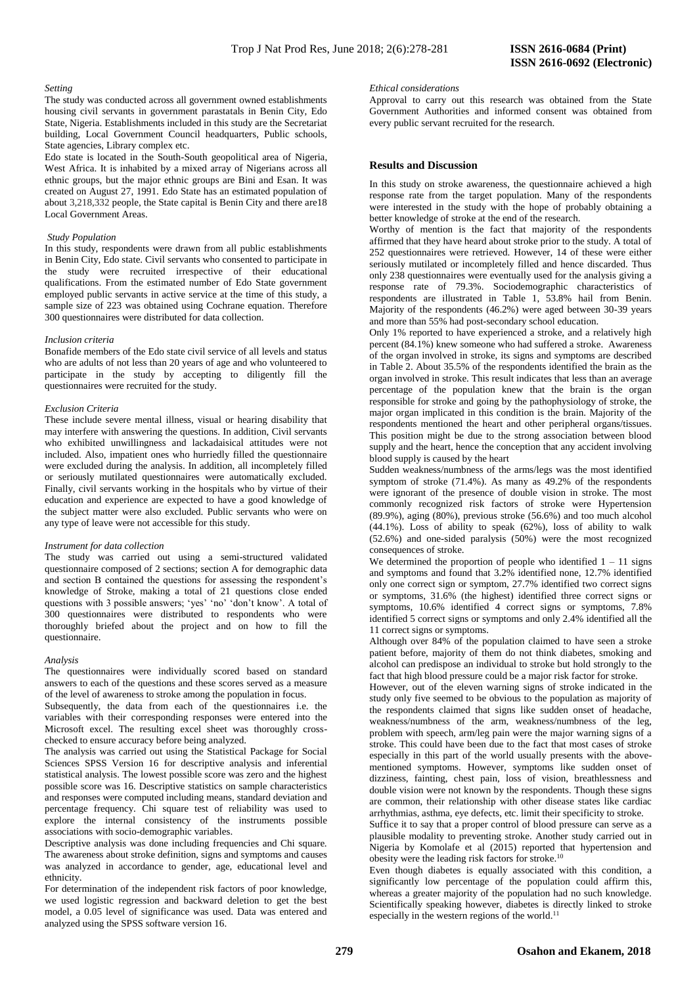#### *Setting*

The study was conducted across all government owned establishments housing civil servants in government parastatals in Benin City, Edo State, Nigeria. Establishments included in this study are the Secretariat building, Local Government Council headquarters, Public schools, State agencies, Library complex etc.

Edo state is located in the South-South geopolitical area of Nigeria, West Africa. It is inhabited by a mixed array of Nigerians across all ethnic groups, but the major ethnic groups are Bini and Esan. It was created on August 27, 1991. Edo State has an estimated population of about 3,218,332 people, the State capital is Benin City and there are18 Local Government Areas.

#### *Study Population*

In this study, respondents were drawn from all public establishments in Benin City, Edo state. Civil servants who consented to participate in the study were recruited irrespective of their educational qualifications. From the estimated number of Edo State government employed public servants in active service at the time of this study, a sample size of 223 was obtained using Cochrane equation. Therefore 300 questionnaires were distributed for data collection.

#### *Inclusion criteria*

Bonafide members of the Edo state civil service of all levels and status who are adults of not less than 20 years of age and who volunteered to participate in the study by accepting to diligently fill the questionnaires were recruited for the study.

#### *Exclusion Criteria*

These include severe mental illness, visual or hearing disability that may interfere with answering the questions. In addition, Civil servants who exhibited unwillingness and lackadaisical attitudes were not included. Also, impatient ones who hurriedly filled the questionnaire were excluded during the analysis. In addition, all incompletely filled or seriously mutilated questionnaires were automatically excluded. Finally, civil servants working in the hospitals who by virtue of their education and experience are expected to have a good knowledge of the subject matter were also excluded. Public servants who were on any type of leave were not accessible for this study.

# *Instrument for data collection*

The study was carried out using a semi-structured validated questionnaire composed of 2 sections; section A for demographic data and section B contained the questions for assessing the respondent's knowledge of Stroke, making a total of 21 questions close ended questions with 3 possible answers; 'yes' 'no' 'don't know'. A total of 300 questionnaires were distributed to respondents who were thoroughly briefed about the project and on how to fill the questionnaire.

# *Analysis*

The questionnaires were individually scored based on standard answers to each of the questions and these scores served as a measure of the level of awareness to stroke among the population in focus.

Subsequently, the data from each of the questionnaires i.e. the variables with their corresponding responses were entered into the Microsoft excel. The resulting excel sheet was thoroughly crosschecked to ensure accuracy before being analyzed.

The analysis was carried out using the Statistical Package for Social Sciences SPSS Version 16 for descriptive analysis and inferential statistical analysis. The lowest possible score was zero and the highest possible score was 16. Descriptive statistics on sample characteristics and responses were computed including means, standard deviation and percentage frequency. Chi square test of reliability was used to explore the internal consistency of the instruments possible associations with socio-demographic variables.

Descriptive analysis was done including frequencies and Chi square. The awareness about stroke definition, signs and symptoms and causes was analyzed in accordance to gender, age, educational level and ethnicity.

For determination of the independent risk factors of poor knowledge, we used logistic regression and backward deletion to get the best model, a 0.05 level of significance was used. Data was entered and analyzed using the SPSS software version 16.

#### *Ethical considerations*

Approval to carry out this research was obtained from the State Government Authorities and informed consent was obtained from every public servant recruited for the research.

#### **Results and Discussion**

In this study on stroke awareness, the questionnaire achieved a high response rate from the target population. Many of the respondents were interested in the study with the hope of probably obtaining a better knowledge of stroke at the end of the research.

Worthy of mention is the fact that majority of the respondents affirmed that they have heard about stroke prior to the study. A total of 252 questionnaires were retrieved. However, 14 of these were either seriously mutilated or incompletely filled and hence discarded. Thus only 238 questionnaires were eventually used for the analysis giving a response rate of 79.3%. Sociodemographic characteristics of respondents are illustrated in Table 1, 53.8% hail from Benin. Majority of the respondents (46.2%) were aged between 30-39 years and more than 55% had post-secondary school education.

Only 1% reported to have experienced a stroke, and a relatively high percent (84.1%) knew someone who had suffered a stroke. Awareness of the organ involved in stroke, its signs and symptoms are described in Table 2. About 35.5% of the respondents identified the brain as the organ involved in stroke. This result indicates that less than an average percentage of the population knew that the brain is the organ responsible for stroke and going by the pathophysiology of stroke, the major organ implicated in this condition is the brain. Majority of the respondents mentioned the heart and other peripheral organs/tissues. This position might be due to the strong association between blood supply and the heart, hence the conception that any accident involving blood supply is caused by the heart

Sudden weakness/numbness of the arms/legs was the most identified symptom of stroke (71.4%). As many as 49.2% of the respondents were ignorant of the presence of double vision in stroke. The most commonly recognized risk factors of stroke were Hypertension (89.9%), aging (80%), previous stroke (56.6%) and too much alcohol (44.1%). Loss of ability to speak (62%), loss of ability to walk (52.6%) and one-sided paralysis (50%) were the most recognized consequences of stroke.

We determined the proportion of people who identified  $1 - 11$  signs and symptoms and found that 3.2% identified none, 12.7% identified only one correct sign or symptom, 27.7% identified two correct signs or symptoms, 31.6% (the highest) identified three correct signs or symptoms, 10.6% identified 4 correct signs or symptoms, 7.8% identified 5 correct signs or symptoms and only 2.4% identified all the 11 correct signs or symptoms.

Although over 84% of the population claimed to have seen a stroke patient before, majority of them do not think diabetes, smoking and alcohol can predispose an individual to stroke but hold strongly to the fact that high blood pressure could be a major risk factor for stroke.

However, out of the eleven warning signs of stroke indicated in the study only five seemed to be obvious to the population as majority of the respondents claimed that signs like sudden onset of headache, weakness/numbness of the arm, weakness/numbness of the leg, problem with speech, arm/leg pain were the major warning signs of a stroke. This could have been due to the fact that most cases of stroke especially in this part of the world usually presents with the abovementioned symptoms. However, symptoms like sudden onset of dizziness, fainting, chest pain, loss of vision, breathlessness and double vision were not known by the respondents. Though these signs are common, their relationship with other disease states like cardiac arrhythmias, asthma, eye defects, etc. limit their specificity to stroke.

Suffice it to say that a proper control of blood pressure can serve as a plausible modality to preventing stroke. Another study carried out in Nigeria by Komolafe et al (2015) reported that hypertension and obesity were the leading risk factors for stroke.<sup>10</sup>

Even though diabetes is equally associated with this condition, a significantly low percentage of the population could affirm this, whereas a greater majority of the population had no such knowledge. Scientifically speaking however, diabetes is directly linked to stroke especially in the western regions of the world.<sup>11</sup>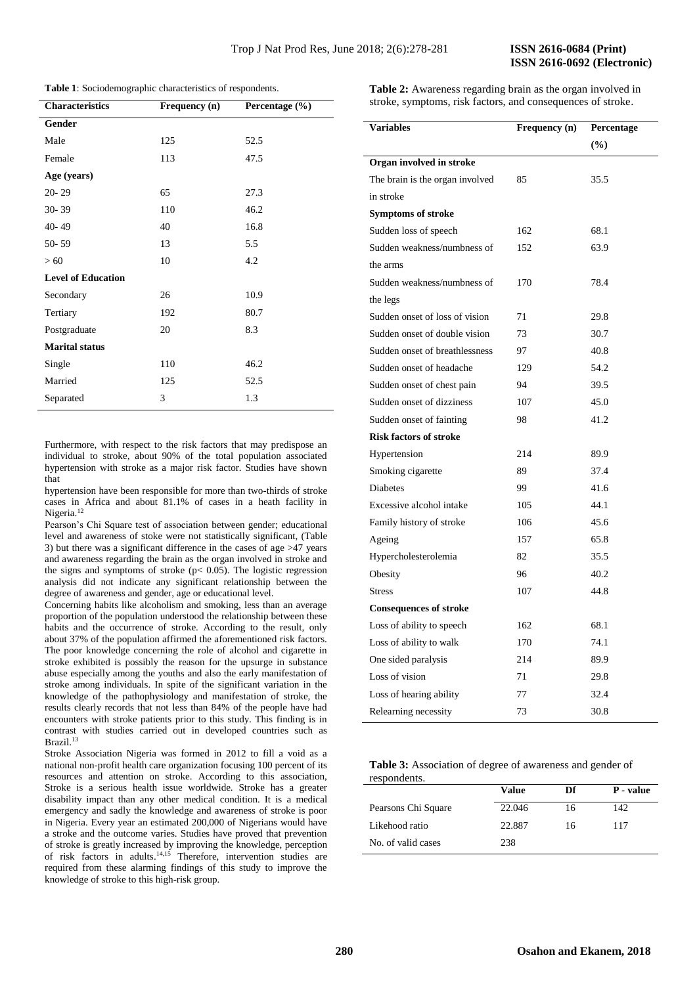**Table 1**: Sociodemographic characteristics of respondents.

| <b>Characteristics</b>    | Frequency (n) | Percentage $(\% )$ |  |  |  |
|---------------------------|---------------|--------------------|--|--|--|
| Gender                    |               |                    |  |  |  |
| Male                      | 125           | 52.5               |  |  |  |
| Female                    | 113           | 47.5               |  |  |  |
| Age (years)               |               |                    |  |  |  |
| $20 - 29$                 | 65            | 27.3               |  |  |  |
| 30-39                     | 110           | 46.2               |  |  |  |
| 40-49                     | 40            | 16.8               |  |  |  |
| $50 - 59$                 | 13            | 5.5                |  |  |  |
| > 60                      | 10            | 4.2                |  |  |  |
| <b>Level of Education</b> |               |                    |  |  |  |
| Secondary                 | 26            | 10.9               |  |  |  |
| Tertiary                  | 192           | 80.7               |  |  |  |
| Postgraduate              | 20            | 8.3                |  |  |  |
| <b>Marital status</b>     |               |                    |  |  |  |
| Single                    | 110           | 46.2               |  |  |  |
| Married                   | 125           | 52.5               |  |  |  |
| Separated                 | 3             | 1.3                |  |  |  |
|                           |               |                    |  |  |  |

Furthermore, with respect to the risk factors that may predispose an individual to stroke, about 90% of the total population associated hypertension with stroke as a major risk factor. Studies have shown that

hypertension have been responsible for more than two-thirds of stroke cases in Africa and about 81.1% of cases in a heath facility in Nigeria.<sup>12</sup>

Pearson's Chi Square test of association between gender; educational level and awareness of stoke were not statistically significant, (Table 3) but there was a significant difference in the cases of age >47 years and awareness regarding the brain as the organ involved in stroke and the signs and symptoms of stroke ( $p < 0.05$ ). The logistic regression analysis did not indicate any significant relationship between the degree of awareness and gender, age or educational level.

Concerning habits like alcoholism and smoking, less than an average proportion of the population understood the relationship between these habits and the occurrence of stroke. According to the result, only about 37% of the population affirmed the aforementioned risk factors. The poor knowledge concerning the role of alcohol and cigarette in stroke exhibited is possibly the reason for the upsurge in substance abuse especially among the youths and also the early manifestation of stroke among individuals. In spite of the significant variation in the knowledge of the pathophysiology and manifestation of stroke, the results clearly records that not less than 84% of the people have had encounters with stroke patients prior to this study. This finding is in contrast with studies carried out in developed countries such as Brazil. 13

Stroke Association Nigeria was formed in 2012 to fill a void as a national non-profit health care organization focusing 100 percent of its resources and attention on stroke. According to this association, Stroke is a serious health issue worldwide. Stroke has a greater disability impact than any other medical condition. It is a medical emergency and sadly the knowledge and awareness of stroke is poor in Nigeria. Every year an estimated 200,000 of Nigerians would have a stroke and the outcome varies. Studies have proved that prevention of stroke is greatly increased by improving the knowledge, perception of risk factors in adults. 14,15 Therefore, intervention studies are required from these alarming findings of this study to improve the knowledge of stroke to this high-risk group.

**Table 2:** Awareness regarding brain as the organ involved in stroke, symptoms, risk factors, and consequences of stroke.

| <b>Variables</b>                | Frequency (n) | Percentage |
|---------------------------------|---------------|------------|
|                                 |               | $(\%)$     |
| Organ involved in stroke        |               |            |
| The brain is the organ involved | 85            | 35.5       |
| in stroke                       |               |            |
| <b>Symptoms of stroke</b>       |               |            |
| Sudden loss of speech           | 162           | 68.1       |
| Sudden weakness/numbness of     | 152           | 63.9       |
| the arms                        |               |            |
| Sudden weakness/numbness of     | 170           | 78.4       |
| the legs                        |               |            |
| Sudden onset of loss of vision  | 71            | 29.8       |
| Sudden onset of double vision   | 73            | 30.7       |
| Sudden onset of breathlessness  | 97            | 40.8       |
| Sudden onset of headache        | 129           | 54.2       |
| Sudden onset of chest pain      | 94            | 39.5       |
| Sudden onset of dizziness       | 107           | 45.0       |
| Sudden onset of fainting        | 98            | 41.2       |
| <b>Risk factors of stroke</b>   |               |            |
| Hypertension                    | 214           | 89.9       |
| Smoking cigarette               | 89            | 37.4       |
| Diabetes                        | 99            | 41.6       |
| Excessive alcohol intake        | 105           | 44.1       |
| Family history of stroke        | 106           | 45.6       |
| Ageing                          | 157           | 65.8       |
| Hypercholesterolemia            | 82            | 35.5       |
| Obesity                         | 96            | 40.2       |
| <b>Stress</b>                   | 107           | 44.8       |
| <b>Consequences of stroke</b>   |               |            |
| Loss of ability to speech       | 162           | 68.1       |
| Loss of ability to walk         | 170           | 74.1       |
| One sided paralysis             | 214           | 89.9       |
| Loss of vision                  | 71            | 29.8       |
| Loss of hearing ability         | 77            | 32.4       |
| Relearning necessity            | 73            | 30.8       |

# **Table 3:** Association of degree of awareness and gender of

| respondents.        |        |    |           |  |  |
|---------------------|--------|----|-----------|--|--|
|                     | Value  | Df | P - value |  |  |
| Pearsons Chi Square | 22.046 | 16 | 142.      |  |  |
| Likehood ratio      | 22.887 | 16 | 117       |  |  |
| No. of valid cases  | 238    |    |           |  |  |